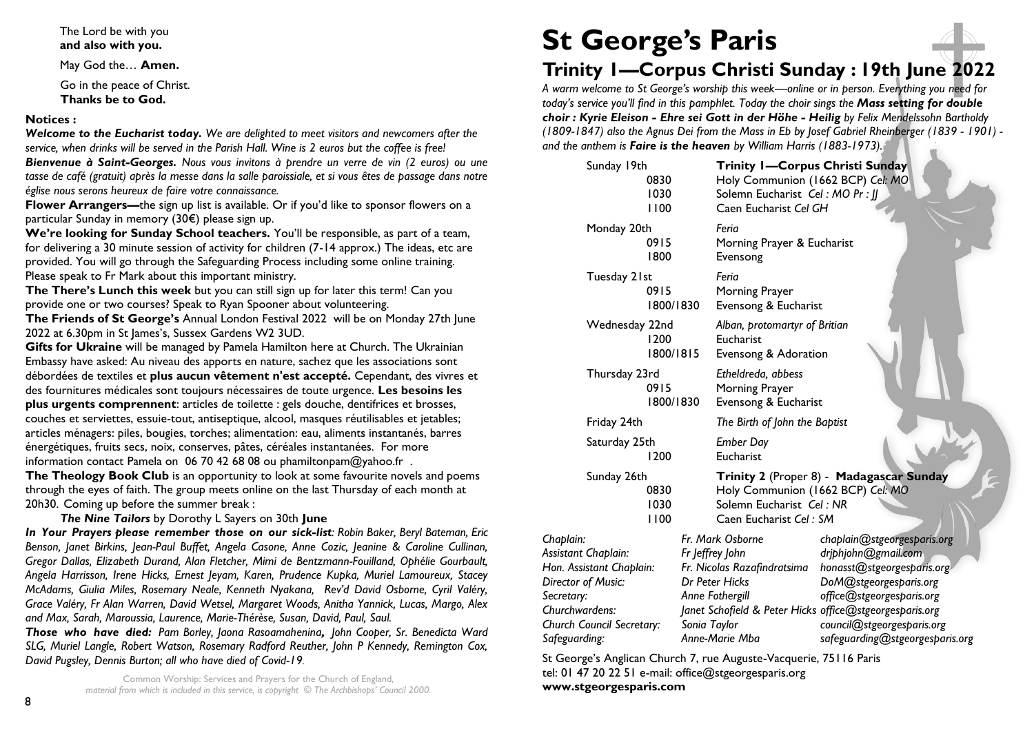#### The Lord be with you **and also with you.**

May God the… **Amen.**

Go in the peace of Christ. **Thanks be to God.**

#### **Notices :**

*Welcome to the Eucharist today. We are delighted to meet visitors and newcomers after the service, when drinks will be served in the Parish Hall. Wine is 2 euros but the coffee is free!*

*Bienvenue à Saint-Georges. Nous vous invitons à prendre un verre de vin (2 euros) ou une tasse de café (gratuit) après la messe dans la salle paroissiale, et si vous êtes de passage dans notre église nous serons heureux de faire votre connaissance.*

**Flower Arrangers—**the sign up list is available. Or if you'd like to sponsor flowers on a particular Sunday in memory (30€) please sign up.

**We're looking for Sunday School teachers.** You'll be responsible, as part of a team, for delivering a 30 minute session of activity for children (7-14 approx.) The ideas, etc are provided. You will go through the Safeguarding Process including some online training. Please speak to Fr Mark about this important ministry.

**The There's Lunch this week** but you can still sign up for later this term! Can you provide one or two courses? Speak to Ryan Spooner about volunteering.

**The Friends of St George's** Annual London Festival 2022 will be on Monday 27th June 2022 at 6.30pm in St James's, Sussex Gardens W2 3UD.

**Gifts for Ukraine** will be managed by Pamela Hamilton here at Church. The Ukrainian Embassy have asked: Au niveau des apports en nature, sachez que les associations sont débordées de textiles et **plus aucun vêtement n'est accepté.** Cependant, des vivres et des fournitures médicales sont toujours nécessaires de toute urgence. **Les besoins les plus urgents comprennent**: articles de toilette : gels douche, dentifrices et brosses, couches et serviettes, essuie-tout, antiseptique, alcool, masques réutilisables et jetables; articles ménagers: piles, bougies, torches; alimentation: eau, aliments instantanés, barres énergétiques, fruits secs, noix, conserves, pâtes, céréales instantanées. For more information contact Pamela on 06 70 42 68 08 ou phamiltonpam@yahoo.fr .

**The Theology Book Club** is an opportunity to look at some favourite novels and poems through the eyes of faith. The group meets online on the last Thursday of each month at 20h30. Coming up before the summer break :

*The Nine Tailors* by Dorothy L Sayers on 30th **June**

*In Your Prayers please remember those on our sick-list: Robin Baker, Beryl Bateman, Eric Benson, Janet Birkins, Jean-Paul Buffet, Angela Casone, Anne Cozic, Jeanine & Caroline Cullinan, Gregor Dallas, Elizabeth Durand, Alan Fletcher, Mimi de Bentzmann-Fouilland, Ophélie Gourbault, Angela Harrisson, Irene Hicks, Ernest Jeyam, Karen, Prudence Kupka, Muriel Lamoureux, Stacey McAdams, Giulia Miles, Rosemary Neale, Kenneth Nyakana, Rev'd David Osborne, Cyril Valéry, Grace Valéry, Fr Alan Warren, David Wetsel, Margaret Woods, Anitha Yannick, Lucas, Margo, Alex and Max, Sarah, Maroussia, Laurence, Marie-Thérèse, Susan, David, Paul, Saul.* 

*Those who have died: Pam Borley, Jaona Rasoamahenina, John Cooper, Sr. Benedicta Ward SLG, Muriel Langle, Robert Watson, Rosemary Radford Reuther, John P Kennedy, Remington Cox, David Pugsley, Dennis Burton; all who have died of Covid-19.*

> Common Worship: Services and Prayers for the Church of England, *material from which is included in this service, is copyright © The Archbishops' Council 2000.*

# **St George's Paris**

# **Trinity 1—Corpus Christi Sunday : 19th June 2022**

*A warm welcome to St George's worship this week—online or in person. Everything you need for today's service you'll find in this pamphlet. Today the choir sings the Mass setting for double choir : Kyrie Eleison - Ehre sei Gott in der Höhe - Heilig by Felix Mendelssohn Bartholdy (1809-1847) also the Agnus Dei from the Mass in Eb by Josef Gabriel Rheinberger (1839 - 1901) and the anthem is Faire is the heaven by William Harris (1883-1973).*

| Sunday 19th                                                                                                                                     | 0830<br>1030<br>1100 |                | Trinity I-Corpus Christi Sunday<br>Holy Communion (1662 BCP) Cel: MO<br>Solemn Eucharist Cel: MO Pr:   <br>Caen Eucharist Cel GH                                   |                                 |                                                                                                                                                                       |  |  |
|-------------------------------------------------------------------------------------------------------------------------------------------------|----------------------|----------------|--------------------------------------------------------------------------------------------------------------------------------------------------------------------|---------------------------------|-----------------------------------------------------------------------------------------------------------------------------------------------------------------------|--|--|
| Monday 20th                                                                                                                                     | 0915<br>1800         |                | Feria<br>Morning Prayer & Eucharist<br>Evensong                                                                                                                    |                                 |                                                                                                                                                                       |  |  |
| Tuesday 21st                                                                                                                                    | 0915<br>1800/1830    |                | Feria<br>Morning Prayer<br>Evensong & Eucharist                                                                                                                    |                                 |                                                                                                                                                                       |  |  |
| Wednesday 22nd                                                                                                                                  | 1200<br>1800/1815    |                | Alban, protomartyr of Britian<br>Eucharist<br>Evensong & Adoration                                                                                                 |                                 |                                                                                                                                                                       |  |  |
| Thursday 23rd                                                                                                                                   | 0915<br>1800/1830    |                | Etheldreda, abbess<br>Morning Prayer<br>Evensong & Eucharist                                                                                                       |                                 |                                                                                                                                                                       |  |  |
| Friday 24th                                                                                                                                     |                      |                | The Birth of John the Baptist                                                                                                                                      |                                 |                                                                                                                                                                       |  |  |
| Saturday 25th                                                                                                                                   | 1200                 |                | <b>Ember Day</b><br>Eucharist                                                                                                                                      |                                 |                                                                                                                                                                       |  |  |
| Sunday 26th                                                                                                                                     | 0830<br>1030<br>1100 |                | Trinity 2 (Proper 8) - Madagascar Sunday<br>Holy Communion (1662 BCP) Cel: MO<br>Solemn Eucharist Cel: NR<br>Caen Eucharist Cel: SM                                |                                 |                                                                                                                                                                       |  |  |
| Chaplain:<br>Assistant Chaplain:<br>Hon. Assistant Chaplain:<br>Director of Music:<br>Secretary:<br>Churchwardens:<br>Church Council Secretary: |                      | Sonia Taylor   | Fr. Mark Osborne<br>Fr Jeffrey John<br>Fr. Nicolas Razafindratsima<br>Dr Peter Hicks<br>Anne Fothergill<br>Janet Schofield & Peter Hicks office@stgeorgesparis.org |                                 | chaplain@stgeorgesparis.org<br>drjphjohn@gmail.com<br>honasst@stgeorgesparis.org<br>DoM@stgeorgesparis.org<br>office@stgeorgesparis.org<br>council@stgeorgesparis.org |  |  |
| Safeguarding:                                                                                                                                   |                      | Anne-Marie Mba |                                                                                                                                                                    | safeguarding@stgeorgesparis.org |                                                                                                                                                                       |  |  |

St George's Anglican Church 7, rue Auguste-Vacquerie, 75116 Paris tel: 01 47 20 22 51 e-mail: [office@stgeorgesparis.org](mailto:office@stgeorgesparis.com)  **[www.stgeorgesparis.com](http://www.stgeorgesparis.com/)**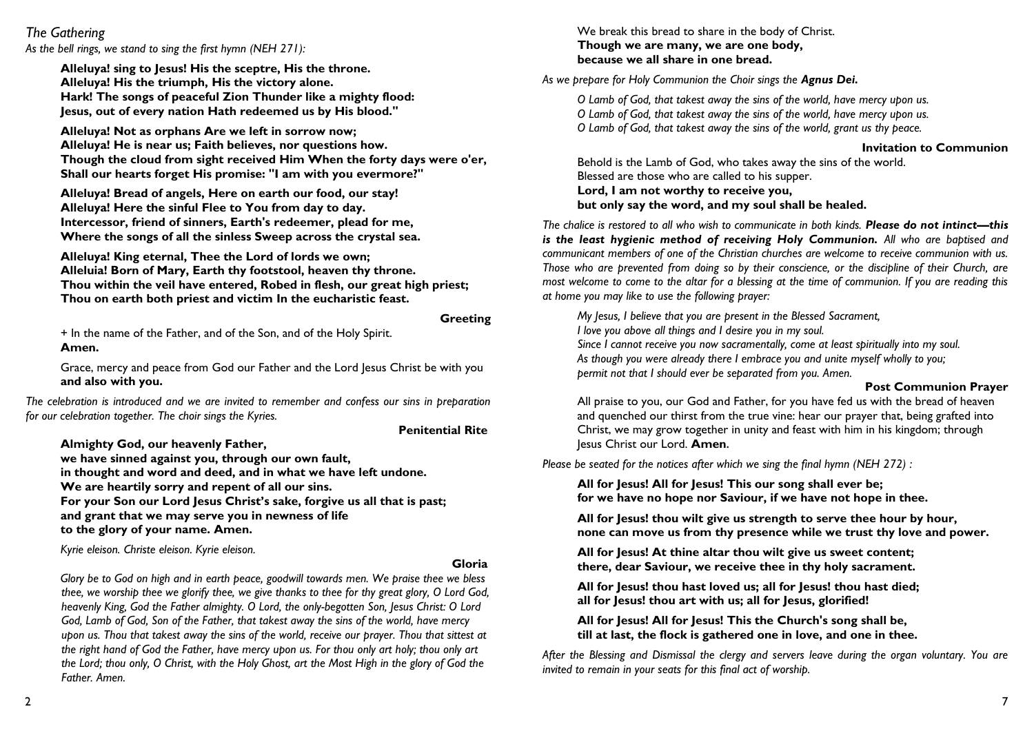## *The Gathering*

*As the bell rings, we stand to sing the first hymn (NEH 271):*

**Alleluya! sing to Jesus! His the sceptre, His the throne. Alleluya! His the triumph, His the victory alone. Hark! The songs of peaceful Zion Thunder like a mighty flood: Jesus, out of every nation Hath redeemed us by His blood."**

**Alleluya! Not as orphans Are we left in sorrow now; Alleluya! He is near us; Faith believes, nor questions how. Though the cloud from sight received Him When the forty days were o'er, Shall our hearts forget His promise: "I am with you evermore?"**

**Alleluya! Bread of angels, Here on earth our food, our stay! Alleluya! Here the sinful Flee to You from day to day. Intercessor, friend of sinners, Earth's redeemer, plead for me, Where the songs of all the sinless Sweep across the crystal sea.**

**Alleluya! King eternal, Thee the Lord of lords we own; Alleluia! Born of Mary, Earth thy footstool, heaven thy throne. Thou within the veil have entered, Robed in flesh, our great high priest; Thou on earth both priest and victim In the eucharistic feast.**

#### **Greeting**

+ In the name of the Father, and of the Son, and of the Holy Spirit. **Amen.**

Grace, mercy and peace from God our Father and the Lord Jesus Christ be with you **and also with you.**

The celebration is introduced and we are invited to remember and confess our sins in preparation *for our celebration together. The choir sings the Kyries.*

#### **Penitential Rite**

**Almighty God, our heavenly Father,** 

**we have sinned against you, through our own fault, in thought and word and deed, and in what we have left undone. We are heartily sorry and repent of all our sins. For your Son our Lord Jesus Christ's sake, forgive us all that is past; and grant that we may serve you in newness of life to the glory of your name. Amen.**

*Kyrie eleison. Christe eleison. Kyrie eleison.*

#### **Gloria**

*Glory be to God on high and in earth peace, goodwill towards men. We praise thee we bless thee, we worship thee we glorify thee, we give thanks to thee for thy great glory, O Lord God, heavenly King, God the Father almighty. O Lord, the only-begotten Son, Jesus Christ: O Lord God, Lamb of God, Son of the Father, that takest away the sins of the world, have mercy upon us. Thou that takest away the sins of the world, receive our prayer. Thou that sittest at the right hand of God the Father, have mercy upon us. For thou only art holy; thou only art the Lord; thou only, O Christ, with the Holy Ghost, art the Most High in the glory of God the Father. Amen.*

We break this bread to share in the body of Christ. **Though we are many, we are one body, because we all share in one bread.**

As we prepare for Holy Communion the Choir sings the **Agnus Dei.** 

*O Lamb of God, that takest away the sins of the world, have mercy upon us. O Lamb of God, that takest away the sins of the world, have mercy upon us. O Lamb of God, that takest away the sins of the world, grant us thy peace.*

#### **Invitation to Communion**

Behold is the Lamb of God, who takes away the sins of the world. Blessed are those who are called to his supper. **Lord, I am not worthy to receive you, but only say the word, and my soul shall be healed.**

*The chalice is restored to all who wish to communicate in both kinds. Please do not intinct—this is the least hygienic method of receiving Holy Communion. All who are baptised and communicant members of one of the Christian churches are welcome to receive communion with us. Those who are prevented from doing so by their conscience, or the discipline of their Church, are most welcome to come to the altar for a blessing at the time of communion. If you are reading this at home you may like to use the following prayer:*

*My Jesus, I believe that you are present in the Blessed Sacrament, I love you above all things and I desire you in my soul. Since I cannot receive you now sacramentally, come at least spiritually into my soul. As though you were already there I embrace you and unite myself wholly to you; permit not that I should ever be separated from you. Amen.*

#### **Post Communion Prayer**

All praise to you, our God and Father, for you have fed us with the bread of heaven and quenched our thirst from the true vine: hear our prayer that, being grafted into Christ, we may grow together in unity and feast with him in his kingdom; through Jesus Christ our Lord. **Amen.**

*Please be seated for the notices after which we sing the final hymn (NEH 272) :*

**All for Jesus! All for Jesus! This our song shall ever be; for we have no hope nor Saviour, if we have not hope in thee.**

**All for Jesus! thou wilt give us strength to serve thee hour by hour, none can move us from thy presence while we trust thy love and power.**

**All for Jesus! At thine altar thou wilt give us sweet content; there, dear Saviour, we receive thee in thy holy sacrament.**

**All for Jesus! thou hast loved us; all for Jesus! thou hast died; all for Jesus! thou art with us; all for Jesus, glorified!**

**All for Jesus! All for Jesus! This the Church's song shall be, till at last, the flock is gathered one in love, and one in thee.** 

*After the Blessing and Dismissal the clergy and servers leave during the organ voluntary. You are invited to remain in your seats for this final act of worship.*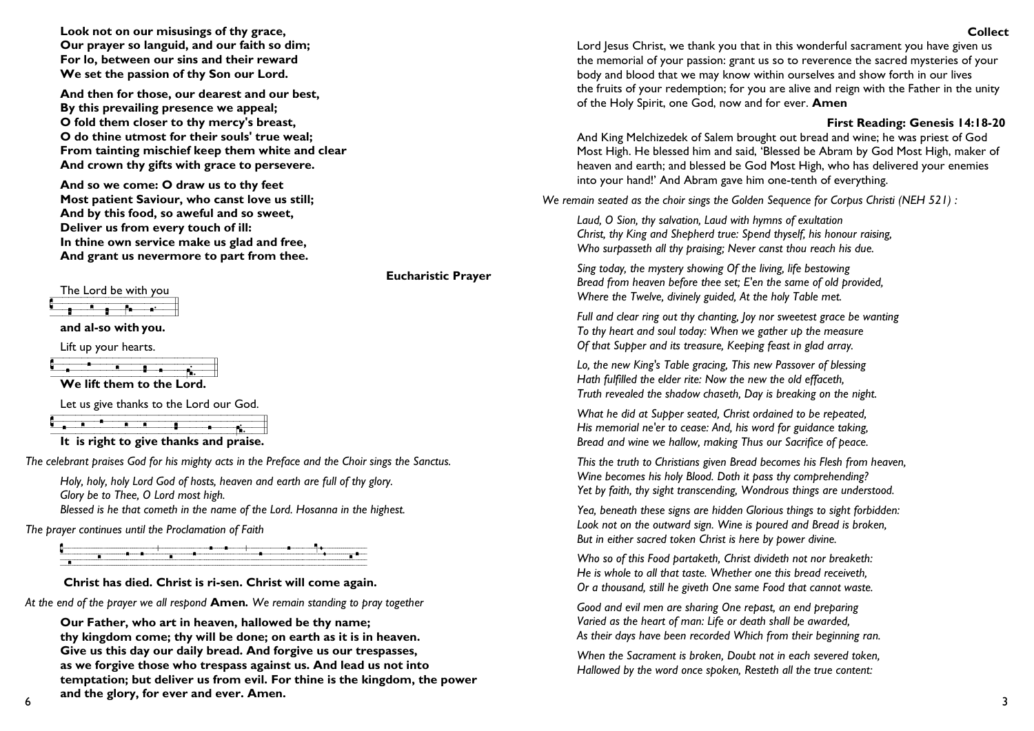**Look not on our misusings of thy grace, Our prayer so languid, and our faith so dim; For lo, between our sins and their reward We set the passion of thy Son our Lord.**

**And then for those, our dearest and our best, By this prevailing presence we appeal; O fold them closer to thy mercy's breast, O do thine utmost for their souls' true weal; From tainting mischief keep them white and clear And crown thy gifts with grace to persevere.**

**And so we come: O draw us to thy feet Most patient Saviour, who canst love us still; And by this food, so aweful and so sweet, Deliver us from every touch of ill: In thine own service make us glad and free, And grant us nevermore to part from thee.**

The Lord be with you

# $\overline{P}$  a  $\overline{P}$  a

**and al-so with you.**

Lift up your hearts.

|  | $-1.8$ applyment $-1.9$ and $-1.9$ |  |                           |
|--|------------------------------------|--|---------------------------|
|  |                                    |  |                           |
|  |                                    |  |                           |
|  |                                    |  |                           |
|  |                                    |  | We lift them to the Lord. |

Let us give thanks to the Lord our God.

**It is right to give thanks and praise.**

*The celebrant praises God for his mighty acts in the Preface and the Choir sings the Sanctus.*

**Eucharistic Prayer**

*Holy, holy, holy Lord God of hosts, heaven and earth are full of thy glory. Glory be to Thee, O Lord most high. Blessed is he that cometh in the name of the Lord. Hosanna in the highest.* 

*The prayer continues until the Proclamation of Faith*

 $\ddot{\phantom{a}}$ 

**Christ has died. Christ is ri-sen. Christ will come again.**

*At the end of the prayer we all respond* **Amen***. We remain standing to pray together*

**Our Father, who art in heaven, hallowed be thy name; thy kingdom come; thy will be done; on earth as it is in heaven. Give us this day our daily bread. And forgive us our trespasses, as we forgive those who trespass against us. And lead us not into temptation; but deliver us from evil. For thine is the kingdom, the power and the glory, for ever and ever. Amen.**

**Collect** Lord Jesus Christ, we thank you that in this wonderful sacrament you have given us the memorial of your passion: grant us so to reverence the sacred mysteries of your body and blood that we may know within ourselves and show forth in our lives the fruits of your redemption; for you are alive and reign with the Father in the unity of the Holy Spirit, one God, now and for ever. **Amen**

## **First Reading: Genesis 14:18-20**

And King Melchizedek of Salem brought out bread and wine; he was priest of God Most High. He blessed him and said, 'Blessed be Abram by God Most High, maker of heaven and earth; and blessed be God Most High, who has delivered your enemies into your hand!' And Abram gave him one-tenth of everything.

*We remain seated as the choir sings the Golden Sequence for Corpus Christi (NEH 521) :*

*Laud, O Sion, thy salvation, Laud with hymns of exultation Christ, thy King and Shepherd true: Spend thyself, his honour raising, Who surpasseth all thy praising; Never canst thou reach his due.*

*Sing today, the mystery showing Of the living, life bestowing Bread from heaven before thee set; E'en the same of old provided, Where the Twelve, divinely guided, At the holy Table met.*

*Full and clear ring out thy chanting, Joy nor sweetest grace be wanting To thy heart and soul today: When we gather up the measure Of that Supper and its treasure, Keeping feast in glad array.*

*Lo, the new King's Table gracing, This new Passover of blessing Hath fulfilled the elder rite: Now the new the old effaceth, Truth revealed the shadow chaseth, Day is breaking on the night.*

*What he did at Supper seated, Christ ordained to be repeated, His memorial ne'er to cease: And, his word for guidance taking, Bread and wine we hallow, making Thus our Sacrifice of peace.*

*This the truth to Christians given Bread becomes his Flesh from heaven, Wine becomes his holy Blood. Doth it pass thy comprehending? Yet by faith, thy sight transcending, Wondrous things are understood.*

*Yea, beneath these signs are hidden Glorious things to sight forbidden: Look not on the outward sign. Wine is poured and Bread is broken, But in either sacred token Christ is here by power divine.*

*Who so of this Food partaketh, Christ divideth not nor breaketh: He is whole to all that taste. Whether one this bread receiveth, Or a thousand, still he giveth One same Food that cannot waste.*

*Good and evil men are sharing One repast, an end preparing Varied as the heart of man: Life or death shall be awarded, As their days have been recorded Which from their beginning ran.*

*When the Sacrament is broken, Doubt not in each severed token, Hallowed by the word once spoken, Resteth all the true content:*